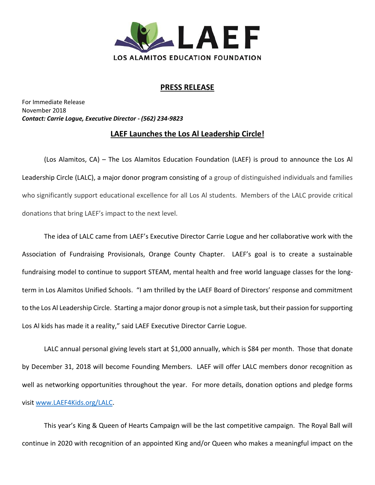

## **PRESS RELEASE**

For Immediate Release November 2018 *Contact: Carrie Logue, Executive Director - (562) 234-9823*

## **LAEF Launches the Los Al Leadership Circle!**

(Los Alamitos, CA) – The Los Alamitos Education Foundation (LAEF) is proud to announce the Los Al Leadership Circle (LALC), a major donor program consisting of a group of distinguished individuals and families who significantly support educational excellence for all Los Al students. Members of the LALC provide critical donations that bring LAEF's impact to the next level.

The idea of LALC came from LAEF's Executive Director Carrie Logue and her collaborative work with the Association of Fundraising Provisionals, Orange County Chapter. LAEF's goal is to create a sustainable fundraising model to continue to support STEAM, mental health and free world language classes for the longterm in Los Alamitos Unified Schools. "I am thrilled by the LAEF Board of Directors' response and commitment to the Los Al Leadership Circle. Starting a major donor group is not a simple task, but their passion for supporting Los Al kids has made it a reality," said LAEF Executive Director Carrie Logue.

LALC annual personal giving levels start at \$1,000 annually, which is \$84 per month. Those that donate by December 31, 2018 will become Founding Members. LAEF will offer LALC members donor recognition as well as networking opportunities throughout the year. For more details, donation options and pledge forms visit [www.LAEF4Kids.org/LALC.](http://www.laef4kids.org/LALC)

This year's King & Queen of Hearts Campaign will be the last competitive campaign. The Royal Ball will continue in 2020 with recognition of an appointed King and/or Queen who makes a meaningful impact on the